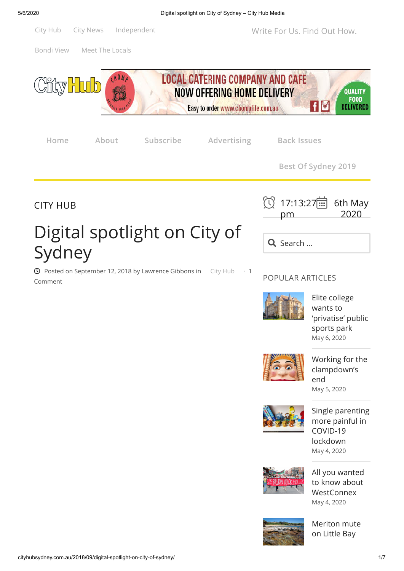

[Bondi View](http://cityhubsydney.com.au/category/bondi-view) [Meet The Locals](http://cityhubsydney.com.au/category/meet-the-locals/)



Digital spotlight on City of Sydney

 $\odot$  Posted on [September 12, 2018](http://cityhubsydney.com.au/2018/09/digital-spotlight-on-city-of-sydney/) by [Lawrence Gibbons](http://cityhubsydney.com.au/author/lawrence/) in [City Hub](http://cityhubsydney.com.au/category/city-hub/)  $\cdot$  1 Comment

| ① 17:13:27 6th May<br>pm | 2020 |
|--------------------------|------|
| Q Search                 |      |

POPULAR ARTICLES



Elite college wants to ['privatise' public](http://cityhubsydney.com.au/2020/05/elite-college-wants-to-privatise-public-sports-park/) sports park [May 6, 2020](http://cityhubsydney.com.au/2020/05/elite-college-wants-to-privatise-public-sports-park/)



[Working for the](http://cityhubsydney.com.au/2020/05/working-for-the-clampdowns-end/) clampdown's end [May 5, 2020](http://cityhubsydney.com.au/2020/05/working-for-the-clampdowns-end/)



[Single parenting](http://cityhubsydney.com.au/2020/05/single-parenting-more-painful-in-covid-19-lockdown/) more painful in COVID-19 lockdown [May 4, 2020](http://cityhubsydney.com.au/2020/05/single-parenting-more-painful-in-covid-19-lockdown/)







[Meriton mute](http://cityhubsydney.com.au/2020/05/meriton-mute-on-little-bay-high-rise-scheme/) on Little Bay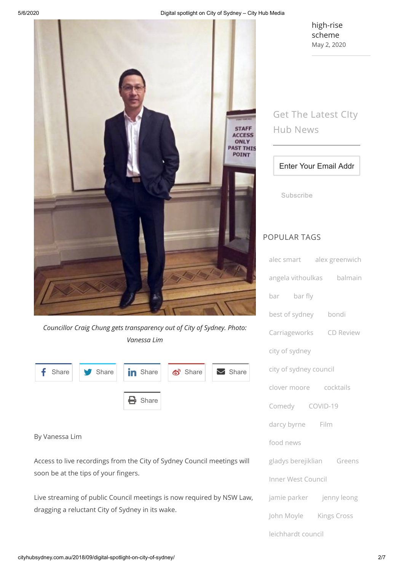

*Councillor Craig Chung gets transparency out of City of Sydney. Photo: Vanessa Lim*

|  | $\left  \begin{array}{c} \bullet \end{array} \right $ Share $\left  \begin{array}{c} \bullet \end{array} \right $ Share $\left  \begin{array}{c} \bullet \end{array} \right $ Share $\left  \begin{array}{c} \bullet \end{array} \right $ |  |
|--|-------------------------------------------------------------------------------------------------------------------------------------------------------------------------------------------------------------------------------------------|--|
|  | $\bigoplus$ Share                                                                                                                                                                                                                         |  |

#### By Vanessa Lim

Access to live recordings from the City of Sydney Council meetings will soon be at the tips of your fingers.

Live streaming of public Council meetings is now required by NSW Law, dragging a reluctant City of Sydney in its wake.

[high-rise](http://cityhubsydney.com.au/2020/05/meriton-mute-on-little-bay-high-rise-scheme/) scheme [May 2, 2020](http://cityhubsydney.com.au/2020/05/meriton-mute-on-little-bay-high-rise-scheme/)

# Get The Latest CIty Hub News

### Enter Your Email Addr

Subscribe

## POPULAR TAGS

| alec smart alex greenwich |  |  |  |  |
|---------------------------|--|--|--|--|
| angela vithoulkas balmain |  |  |  |  |
| bar bar fly               |  |  |  |  |
| best of sydney bondi      |  |  |  |  |
| Carriageworks CD Review   |  |  |  |  |
| city of sydney            |  |  |  |  |
| city of sydney council    |  |  |  |  |
| clover moore cocktails    |  |  |  |  |
| Comedy COVID-19           |  |  |  |  |
| darcy byrne Film          |  |  |  |  |
| food news                 |  |  |  |  |
| gladys berejiklian Greens |  |  |  |  |
| Inner West Council        |  |  |  |  |
| jamie parker jenny leong  |  |  |  |  |
| John Moyle Kings Cross    |  |  |  |  |
| leichhardt council        |  |  |  |  |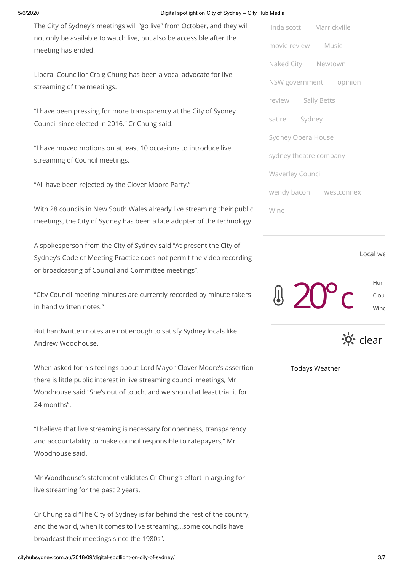#### 5/6/2020 Digital spotlight on City of Sydney – City Hub Media

The City of Sydney's meetings will "go live" from October, and they will not only be available to watch live, but also be accessible after the meeting has ended.

Liberal Councillor Craig Chung has been a vocal advocate for live streaming of the meetings.

"I have been pressing for more transparency at the City of Sydney Council since elected in 2016," Cr Chung said.

"I have moved motions on at least 10 occasions to introduce live streaming of Council meetings.

"All have been rejected by the Clover Moore Party."

With 28 councils in New South Wales already live streaming their public meetings, the City of Sydney has been a late adopter of the technology.

A spokesperson from the City of Sydney said "At present the City of Sydney's Code of Meeting Practice does not permit the video recording or broadcasting of Council and Committee meetings".

"City Council meeting minutes are currently recorded by minute takers in hand written notes."

But handwritten notes are not enough to satisfy Sydney locals like Andrew Woodhouse.

When asked for his feelings about Lord Mayor Clover Moore's assertion there is little public interest in live streaming council meetings, Mr Woodhouse said "She's out of touch, and we should at least trial it for 24 months".

"I believe that live streaming is necessary for openness, transparency and accountability to make council responsible to ratepayers," Mr Woodhouse said.

Mr Woodhouse's statement validates Cr Chung's effort in arguing for live streaming for the past 2 years.

Cr Chung said "The City of Sydney is far behind the rest of the country, and the world, when it comes to live streaming…some councils have broadcast their meetings since the 1980s".

[movie review](http://cityhubsydney.com.au/tag/movie-review/) [Music](http://cityhubsydney.com.au/tag/music/) [Naked City](http://cityhubsydney.com.au/tag/naked-city-2/) [Newtown](http://cityhubsydney.com.au/tag/newtown/) [NSW government](http://cityhubsydney.com.au/tag/nsw-government/) [opinion](http://cityhubsydney.com.au/tag/opinion/) [review](http://cityhubsydney.com.au/tag/review/) [Sally Betts](http://cityhubsydney.com.au/tag/sally-betts/) [satire](http://cityhubsydney.com.au/tag/satire/) [Sydney](http://cityhubsydney.com.au/tag/sydney/) [Sydney Opera House](http://cityhubsydney.com.au/tag/sydney-opera-house/) [sydney theatre company](http://cityhubsydney.com.au/tag/sydney-theatre-company/) [Waverley Council](http://cityhubsydney.com.au/tag/waverley-council/) [wendy bacon](http://cityhubsydney.com.au/tag/wendy-bacon/) [westconnex](http://cityhubsydney.com.au/tag/westconnex/) [Wine](http://cityhubsydney.com.au/tag/wine/)

[linda scott](http://cityhubsydney.com.au/tag/linda-scott/) [Marrickville](http://cityhubsydney.com.au/tag/marrickville/)



Todays Weather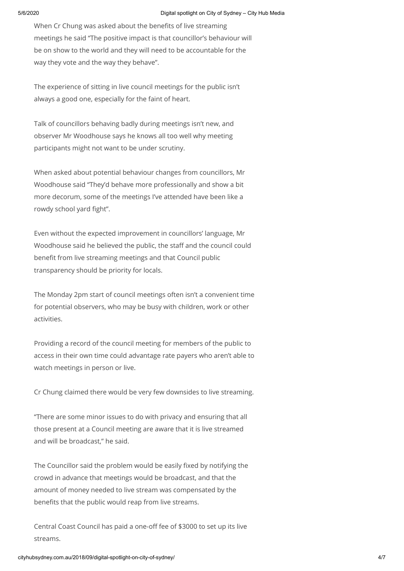When Cr Chung was asked about the benefits of live streaming meetings he said "The positive impact is that councillor's behaviour will be on show to the world and they will need to be accountable for the way they vote and the way they behave".

The experience of sitting in live council meetings for the public isn't always a good one, especially for the faint of heart.

Talk of councillors behaving badly during meetings isn't new, and observer Mr Woodhouse says he knows all too well why meeting participants might not want to be under scrutiny.

When asked about potential behaviour changes from councillors, Mr Woodhouse said "They'd behave more professionally and show a bit more decorum, some of the meetings I've attended have been like a rowdy school yard fight".

Even without the expected improvement in councillors' language, Mr Woodhouse said he believed the public, the staff and the council could benefit from live streaming meetings and that Council public transparency should be priority for locals.

The Monday 2pm start of council meetings often isn't a convenient time for potential observers, who may be busy with children, work or other activities.

Providing a record of the council meeting for members of the public to access in their own time could advantage rate payers who aren't able to watch meetings in person or live.

Cr Chung claimed there would be very few downsides to live streaming.

"There are some minor issues to do with privacy and ensuring that all those present at a Council meeting are aware that it is live streamed and will be broadcast," he said.

The Councillor said the problem would be easily fixed by notifying the crowd in advance that meetings would be broadcast, and that the amount of money needed to live stream was compensated by the benefits that the public would reap from live streams.

Central Coast Council has paid a one-off fee of \$3000 to set up its live streams.